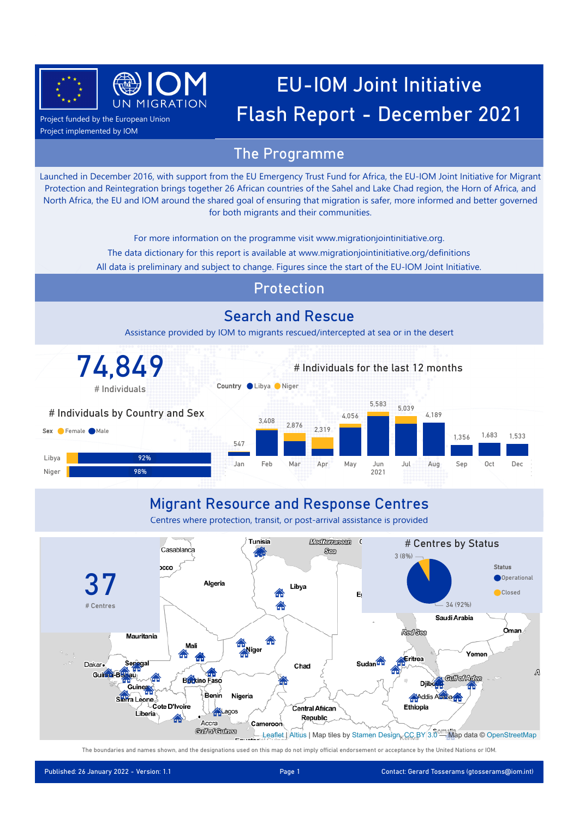



Project funded by the European Union Project implemented by IOM

#### The Programme

Launched in December 2016, with support from the EU Emergency Trust Fund for Africa, the EU-IOM Joint Initiative for Migrant Protection and Reintegration brings together 26 African countries of the Sahel and Lake Chad region, the Horn of Africa, and North Africa, the EU and IOM around the shared goal of ensuring that migration is safer, more informed and better governed for both migrants and their communities.

For more information on the programme visit www.migrationjointinitiative.org.

- The data dictionary for this report is available at www.migrationjointinitiative.org/definitions
- All data is preliminary and subject to change. Figures since the start of the EU-IOM Joint Initiative.

#### Protection

#### Search and Rescue

Assistance provided by IOM to migrants rescued/intercepted at sea or in the desert



#### Migrant Resource and Response Centres

Centres where protection, transit, or post-arrival assistance is provided



The boundaries and names shown, and the designations used on this map do not imply official endorsement or acceptance by the United Nations or IOM.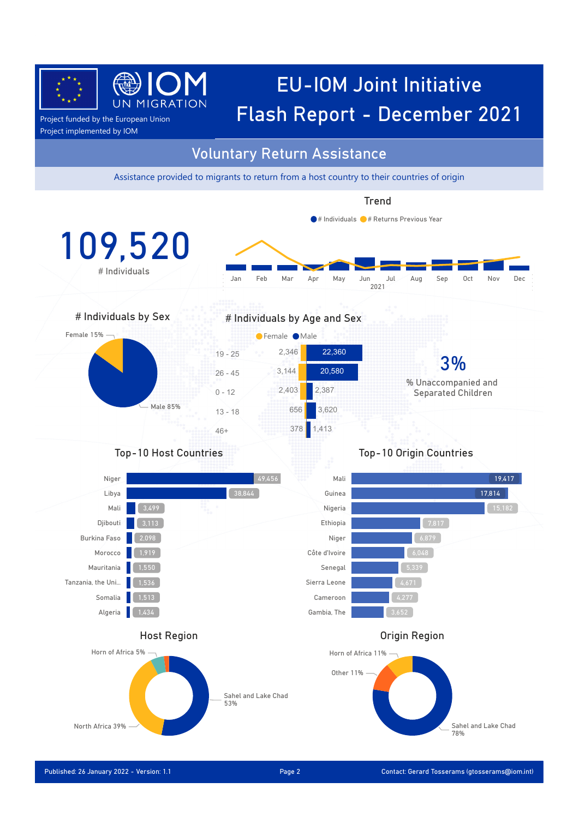

### EU-IOM Joint Initiative  $\frac{1}{P_{\text{Project funded by the European Union}}}$  UN MIGRATION **Flash Report - December 2021**

Project implemented by IOM

#### Voluntary Return Assistance

Assistance provided to migrants to return from a host country to their countries of origin

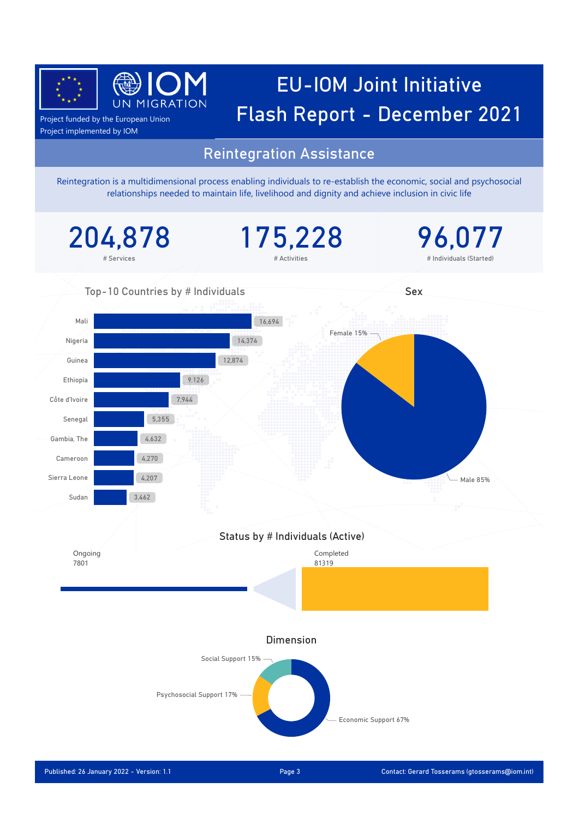

# EU-IOM Joint Initiative  $\frac{1}{P_{\text{Project funded by the European Union}}}$  UN MIGRATION **Flash Report - December 2021**

Project implemented by IOM

#### Reintegration Assistance

Reintegration is a multidimensional process enabling individuals to re-establish the economic, social and psychosocial relationships needed to maintain life, livelihood and dignity and achieve inclusion in civic life

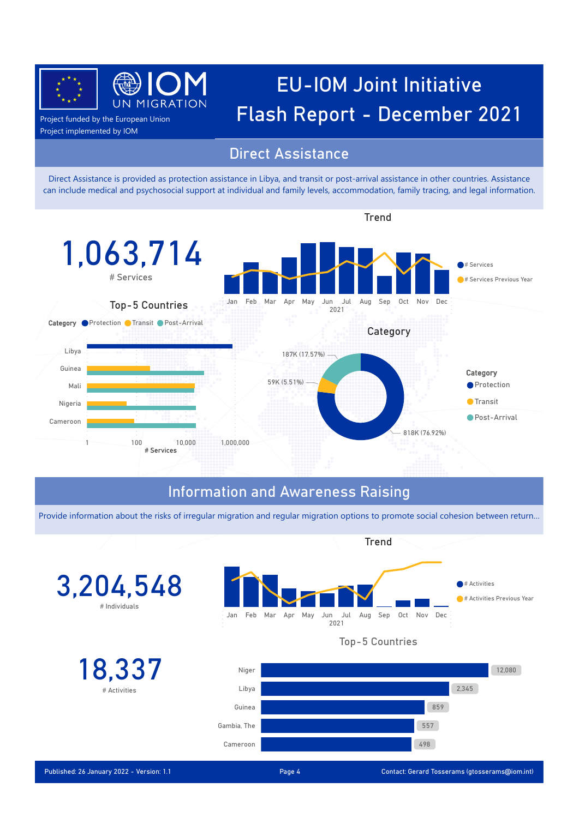

### EU-IOM Joint Initiative **Lack Accord Sect funded by the European Union** Flash Report - December 2021

Project implemented by IOM

#### Direct Assistance

Direct Assistance is provided as protection assistance in Libya, and transit or post-arrival assistance in other countries. Assistance can include medical and psychosocial support at individual and family levels, accommodation, family tracing, and legal information.



#### Information and Awareness Raising

Provide information about the risks of irregular migration and regular migration options to promote social cohesion between return…

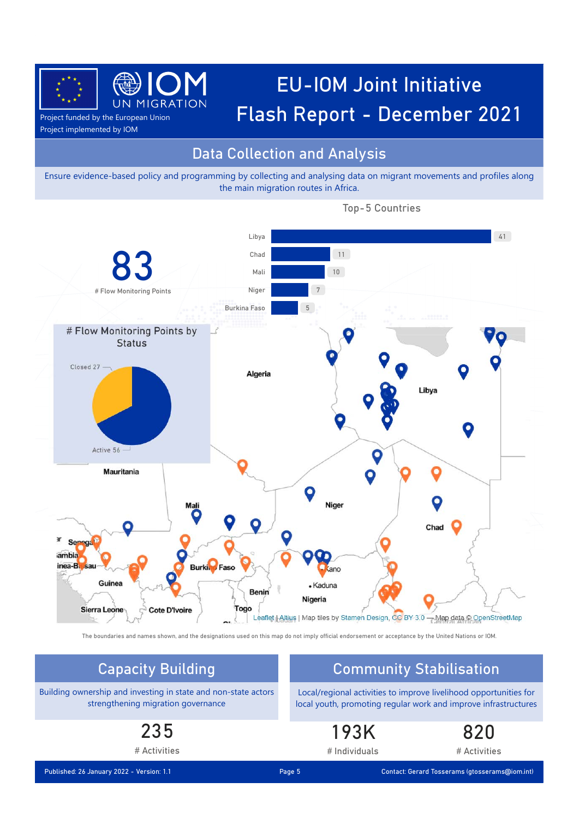

# EU-IOM Joint Initiative  $\frac{1}{P_{\text{Project funded by the European Union}}}$  UN MIGRATION **Flash Report - December 2021**

Project implemented by IOM

#### Data Collection and Analysis

Ensure evidence-based policy and programming by collecting and analysing data on migrant movements and profiles along the main migration routes in Africa.



Top-5 Countries

The boundaries and names shown, and the designations used on this map do not imply official endorsement or acceptance by the United Nations or IOM.

### Capacity Building Community Stabilisation

Building ownership and investing in state and non-state actors strengthening migration governance

> 235 # Activities

Local/regional activities to improve livelihood opportunities for local youth, promoting regular work and improve infrastructures

#### 193K # Individuals

820

# Activities

Published: 26 January 2022 - Version: 1.1 Contact: Gerard Tosserams (gtosserams@iom.int)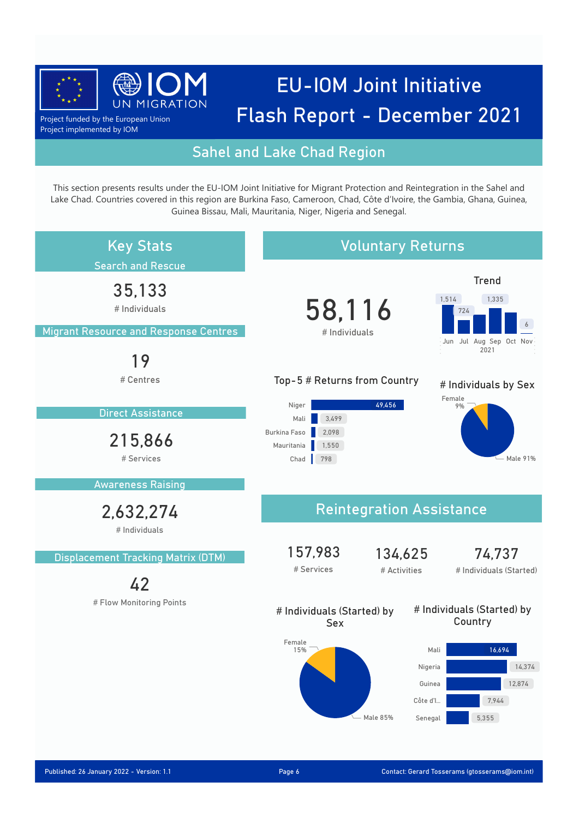![](_page_5_Picture_0.jpeg)

Project funded by the European Union Project implemented by IOM

#### Sahel and Lake Chad Region

This section presents results under the EU-IOM Joint Initiative for Migrant Protection and Reintegration in the Sahel and Lake Chad. Countries covered in this region are Burkina Faso, Cameroon, Chad, Côte d'Ivoire, the Gambia, Ghana, Guinea, Guinea Bissau, Mali, Mauritania, Niger, Nigeria and Senegal.

![](_page_5_Figure_5.jpeg)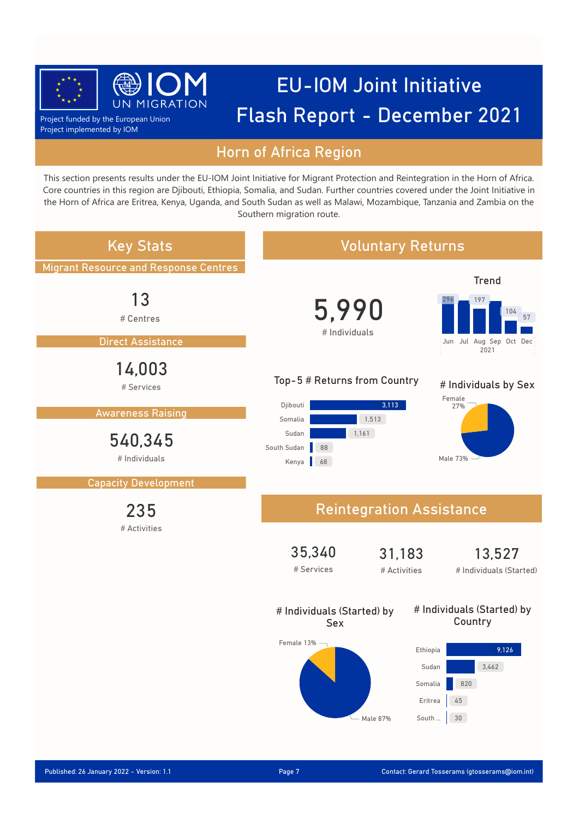![](_page_6_Picture_0.jpeg)

Project funded by the European Union Project implemented by IOM

#### Horn of Africa Region

This section presents results under the EU-IOM Joint Initiative for Migrant Protection and Reintegration in the Horn of Africa. Core countries in this region are Djibouti, Ethiopia, Somalia, and Sudan. Further countries covered under the Joint Initiative in the Horn of Africa are Eritrea, Kenya, Uganda, and South Sudan as well as Malawi, Mozambique, Tanzania and Zambia on the Southern migration route.

![](_page_6_Figure_5.jpeg)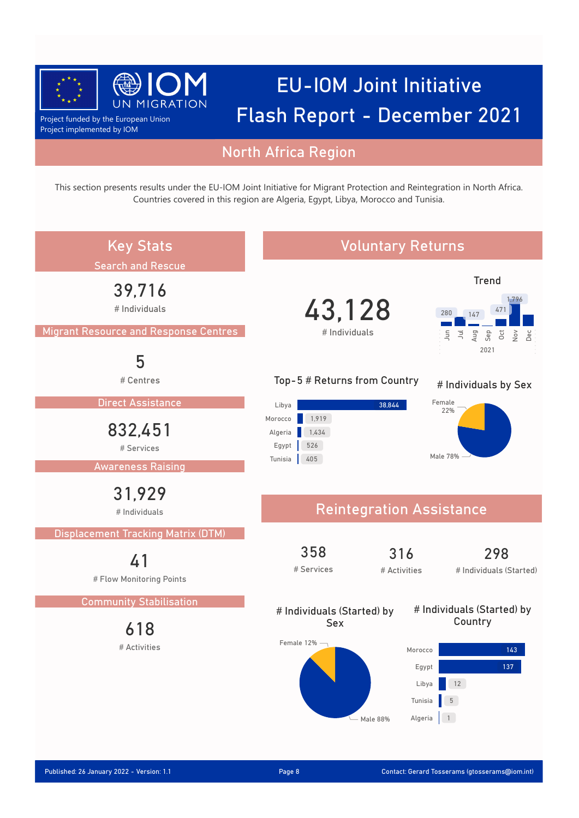![](_page_7_Picture_0.jpeg)

Project funded by the European Union Project implemented by IOM

#### North Africa Region

This section presents results under the EU-IOM Joint Initiative for Migrant Protection and Reintegration in North Africa. Countries covered in this region are Algeria, Egypt, Libya, Morocco and Tunisia.

![](_page_7_Figure_5.jpeg)